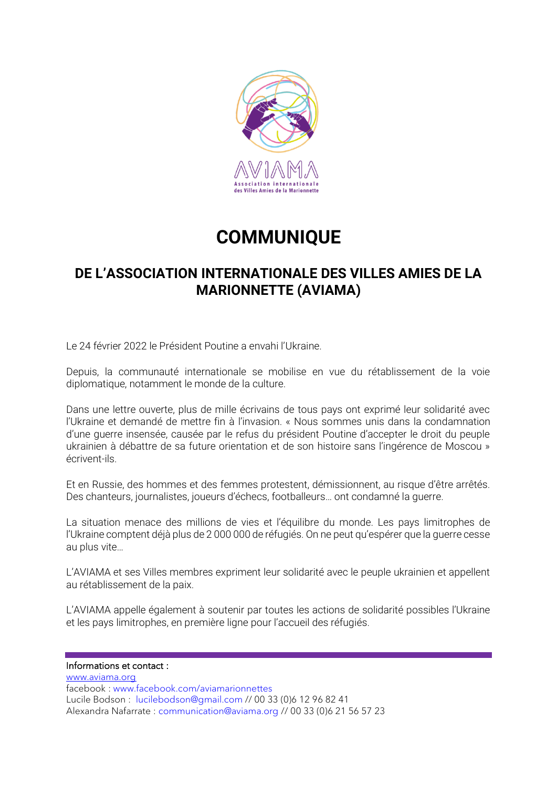

## **COMMUNIQUE**

### **DE L'ASSOCIATION INTERNATIONALE DES VILLES AMIES DE LA MARIONNETTE (AVIAMA)**

Le 24 février 2022 le Président Poutine a envahi l'Ukraine.

Depuis, la communauté internationale se mobilise en vue du rétablissement de la voie diplomatique, notamment le monde de la culture.

Dans une lettre ouverte, plus de mille écrivains de tous pays ont exprimé leur solidarité avec l'Ukraine et demandé de mettre fin à l'invasion. « Nous sommes unis dans la condamnation d'une guerre insensée, causée par le refus du président Poutine d'accepter le droit du peuple ukrainien à débattre de sa future orientation et de son histoire sans l'ingérence de Moscou » écrivent-ils.

Et en Russie, des hommes et des femmes protestent, démissionnent, au risque d'être arrêtés. Des chanteurs, journalistes, joueurs d'échecs, footballeurs… ont condamné la guerre.

La situation menace des millions de vies et l'équilibre du monde. Les pays limitrophes de l'Ukraine comptent déjà plus de 2 000 000 de réfugiés. On ne peut qu'espérer que la guerre cesse au plus vite…

L'AVIAMA et ses Villes membres expriment leur solidarité avec le peuple ukrainien et appellent au rétablissement de la paix.

L'AVIAMA appelle également à soutenir par toutes les actions de solidarité possibles l'Ukraine et les pays limitrophes, en première ligne pour l'accueil des réfugiés.

Informations et contact :

[www.aviama.org](http://www.aviama.org/) facebook : [www.facebook.com/aviamarionnettes](http://www.facebook.com/aviamarionnettes) Lucile Bodson : [lucilebodson@gmail.com](mailto:lucilebodson@gmail.com) // 00 33 (0)6 12 96 82 41 Alexandra Nafarrate : [communication@aviama.org](mailto:communication@aviama.org) // 00 33 (0)6 21 56 57 23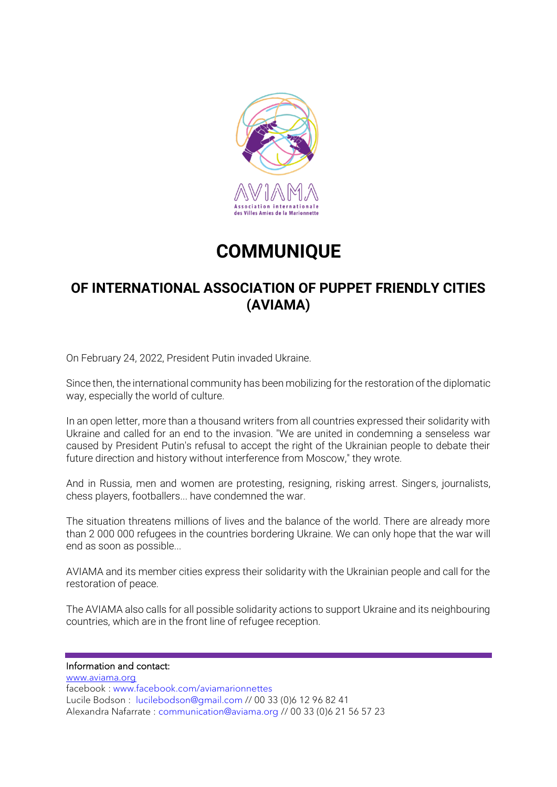

# **COMMUNIQUE**

### **OF INTERNATIONAL ASSOCIATION OF PUPPET FRIENDLY CITIES (AVIAMA)**

On February 24, 2022, President Putin invaded Ukraine.

Since then, the international community has been mobilizing for the restoration of the diplomatic way, especially the world of culture.

In an open letter, more than a thousand writers from all countries expressed their solidarity with Ukraine and called for an end to the invasion. "We are united in condemning a senseless war caused by President Putin's refusal to accept the right of the Ukrainian people to debate their future direction and history without interference from Moscow," they wrote.

And in Russia, men and women are protesting, resigning, risking arrest. Singers, journalists, chess players, footballers... have condemned the war.

The situation threatens millions of lives and the balance of the world. There are already more than 2 000 000 refugees in the countries bordering Ukraine. We can only hope that the war will end as soon as possible...

AVIAMA and its member cities express their solidarity with the Ukrainian people and call for the restoration of peace.

The AVIAMA also calls for all possible solidarity actions to support Ukraine and its neighbouring countries, which are in the front line of refugee reception.

#### Information and contact:

[www.aviama.org](http://www.aviama.org/) facebook : [www.facebook.com/aviamarionnettes](http://www.facebook.com/aviamarionnettes) Lucile Bodson : [lucilebodson@gmail.com](mailto:lucilebodson@gmail.com) // 00 33 (0)6 12 96 82 41 Alexandra Nafarrate : [communication@aviama.org](mailto:communication@aviama.org) // 00 33 (0)6 21 56 57 23